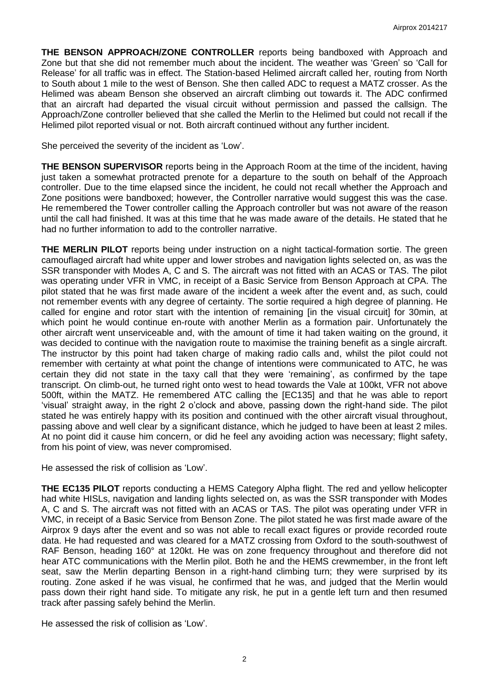**THE BENSON APPROACH/ZONE CONTROLLER** reports being bandboxed with Approach and Zone but that she did not remember much about the incident. The weather was 'Green' so 'Call for Release' for all traffic was in effect. The Station-based Helimed aircraft called her, routing from North to South about 1 mile to the west of Benson. She then called ADC to request a MATZ crosser. As the Helimed was abeam Benson she observed an aircraft climbing out towards it. The ADC confirmed that an aircraft had departed the visual circuit without permission and passed the callsign. The Approach/Zone controller believed that she called the Merlin to the Helimed but could not recall if the Helimed pilot reported visual or not. Both aircraft continued without any further incident.

She perceived the severity of the incident as 'Low'.

**THE BENSON SUPERVISOR** reports being in the Approach Room at the time of the incident, having just taken a somewhat protracted prenote for a departure to the south on behalf of the Approach controller. Due to the time elapsed since the incident, he could not recall whether the Approach and Zone positions were bandboxed; however, the Controller narrative would suggest this was the case. He remembered the Tower controller calling the Approach controller but was not aware of the reason until the call had finished. It was at this time that he was made aware of the details. He stated that he had no further information to add to the controller narrative.

**THE MERLIN PILOT** reports being under instruction on a night tactical-formation sortie. The green camouflaged aircraft had white upper and lower strobes and navigation lights selected on, as was the SSR transponder with Modes A, C and S. The aircraft was not fitted with an ACAS or TAS. The pilot was operating under VFR in VMC, in receipt of a Basic Service from Benson Approach at CPA. The pilot stated that he was first made aware of the incident a week after the event and, as such, could not remember events with any degree of certainty. The sortie required a high degree of planning. He called for engine and rotor start with the intention of remaining [in the visual circuit] for 30min, at which point he would continue en-route with another Merlin as a formation pair. Unfortunately the other aircraft went unserviceable and, with the amount of time it had taken waiting on the ground, it was decided to continue with the navigation route to maximise the training benefit as a single aircraft. The instructor by this point had taken charge of making radio calls and, whilst the pilot could not remember with certainty at what point the change of intentions were communicated to ATC, he was certain they did not state in the taxy call that they were 'remaining', as confirmed by the tape transcript. On climb-out, he turned right onto west to head towards the Vale at 100kt, VFR not above 500ft, within the MATZ. He remembered ATC calling the [EC135] and that he was able to report 'visual' straight away, in the right 2 o'clock and above, passing down the right-hand side. The pilot stated he was entirely happy with its position and continued with the other aircraft visual throughout, passing above and well clear by a significant distance, which he judged to have been at least 2 miles. At no point did it cause him concern, or did he feel any avoiding action was necessary; flight safety, from his point of view, was never compromised.

He assessed the risk of collision as 'Low'.

**THE EC135 PILOT** reports conducting a HEMS Category Alpha flight. The red and yellow helicopter had white HISLs, navigation and landing lights selected on, as was the SSR transponder with Modes A, C and S. The aircraft was not fitted with an ACAS or TAS. The pilot was operating under VFR in VMC, in receipt of a Basic Service from Benson Zone. The pilot stated he was first made aware of the Airprox 9 days after the event and so was not able to recall exact figures or provide recorded route data. He had requested and was cleared for a MATZ crossing from Oxford to the south-southwest of RAF Benson, heading 160° at 120kt. He was on zone frequency throughout and therefore did not hear ATC communications with the Merlin pilot. Both he and the HEMS crewmember, in the front left seat, saw the Merlin departing Benson in a right-hand climbing turn; they were surprised by its routing. Zone asked if he was visual, he confirmed that he was, and judged that the Merlin would pass down their right hand side. To mitigate any risk, he put in a gentle left turn and then resumed track after passing safely behind the Merlin.

He assessed the risk of collision as 'Low'.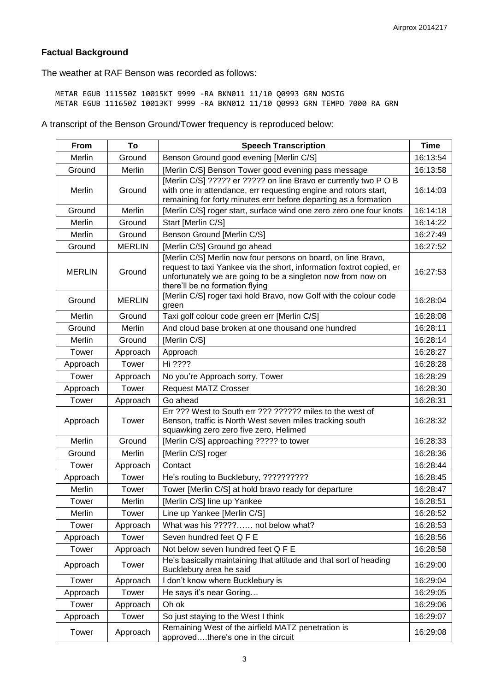# **Factual Background**

The weather at RAF Benson was recorded as follows:

METAR EGUB 111550Z 10015KT 9999 -RA BKN011 11/10 Q0993 GRN NOSIG METAR EGUB 111650Z 10013KT 9999 -RA BKN012 11/10 Q0993 GRN TEMPO 7000 RA GRN

A transcript of the Benson Ground/Tower frequency is reproduced below:

| From          | To            | <b>Speech Transcription</b>                                                                                                                                                                                                              | <b>Time</b> |
|---------------|---------------|------------------------------------------------------------------------------------------------------------------------------------------------------------------------------------------------------------------------------------------|-------------|
| Merlin        | Ground        | Benson Ground good evening [Merlin C/S]                                                                                                                                                                                                  | 16:13:54    |
| Ground        | Merlin        | [Merlin C/S] Benson Tower good evening pass message                                                                                                                                                                                      | 16:13:58    |
| Merlin        | Ground        | [Merlin C/S] ????? er ????? on line Bravo er currently two P O B<br>with one in attendance, err requesting engine and rotors start,<br>remaining for forty minutes errr before departing as a formation                                  | 16:14:03    |
| Ground        | Merlin        | [Merlin C/S] roger start, surface wind one zero zero one four knots                                                                                                                                                                      | 16:14:18    |
| Merlin        | Ground        | Start [Merlin C/S]                                                                                                                                                                                                                       | 16:14:22    |
| Merlin        | Ground        | Benson Ground [Merlin C/S]                                                                                                                                                                                                               | 16:27:49    |
| Ground        | <b>MERLIN</b> | [Merlin C/S] Ground go ahead                                                                                                                                                                                                             | 16:27:52    |
| <b>MERLIN</b> | Ground        | [Merlin C/S] Merlin now four persons on board, on line Bravo,<br>request to taxi Yankee via the short, information foxtrot copied, er<br>unfortunately we are going to be a singleton now from now on<br>there'll be no formation flying | 16:27:53    |
| Ground        | <b>MERLIN</b> | [Merlin C/S] roger taxi hold Bravo, now Golf with the colour code<br>green                                                                                                                                                               | 16:28:04    |
| Merlin        | Ground        | Taxi golf colour code green err [Merlin C/S]                                                                                                                                                                                             | 16:28:08    |
| Ground        | Merlin        | And cloud base broken at one thousand one hundred                                                                                                                                                                                        | 16:28:11    |
| Merlin        | Ground        | [Merlin C/S]                                                                                                                                                                                                                             | 16:28:14    |
| Tower         | Approach      | Approach                                                                                                                                                                                                                                 | 16:28:27    |
| Approach      | Tower         | Hi ????                                                                                                                                                                                                                                  | 16:28:28    |
| Tower         | Approach      | No you're Approach sorry, Tower                                                                                                                                                                                                          | 16:28:29    |
| Approach      | Tower         | <b>Request MATZ Crosser</b>                                                                                                                                                                                                              | 16:28:30    |
| Tower         | Approach      | Go ahead                                                                                                                                                                                                                                 | 16:28:31    |
| Approach      | Tower         | Err ??? West to South err ??? ?????? miles to the west of<br>Benson, traffic is North West seven miles tracking south<br>squawking zero zero five zero, Helimed                                                                          | 16:28:32    |
| Merlin        | Ground        | [Merlin C/S] approaching ????? to tower                                                                                                                                                                                                  | 16:28:33    |
| Ground        | Merlin        | [Merlin C/S] roger                                                                                                                                                                                                                       | 16:28:36    |
| Tower         | Approach      | Contact                                                                                                                                                                                                                                  | 16:28:44    |
| Approach      | Tower         | He's routing to Bucklebury, ???????????                                                                                                                                                                                                  | 16:28:45    |
| Merlin        | Tower         | Tower [Merlin C/S] at hold bravo ready for departure                                                                                                                                                                                     | 16:28:47    |
| Tower         | Merlin        | [Merlin C/S] line up Yankee                                                                                                                                                                                                              | 16:28:51    |
| Merlin        | Tower         | Line up Yankee [Merlin C/S]                                                                                                                                                                                                              | 16:28:52    |
| Tower         | Approach      | What was his ????? not below what?                                                                                                                                                                                                       | 16:28:53    |
| Approach      | Tower         | Seven hundred feet Q F E                                                                                                                                                                                                                 | 16:28:56    |
| Tower         | Approach      | Not below seven hundred feet Q F E                                                                                                                                                                                                       | 16:28:58    |
| Approach      | Tower         | He's basically maintaining that altitude and that sort of heading<br>Bucklebury area he said                                                                                                                                             | 16:29:00    |
| Tower         | Approach      | I don't know where Bucklebury is                                                                                                                                                                                                         | 16:29:04    |
| Approach      | Tower         | He says it's near Goring                                                                                                                                                                                                                 | 16:29:05    |
| Tower         | Approach      | Oh ok                                                                                                                                                                                                                                    | 16:29:06    |
| Approach      | Tower         | So just staying to the West I think                                                                                                                                                                                                      | 16:29:07    |
| Tower         | Approach      | Remaining West of the airfield MATZ penetration is<br>approvedthere's one in the circuit                                                                                                                                                 | 16:29:08    |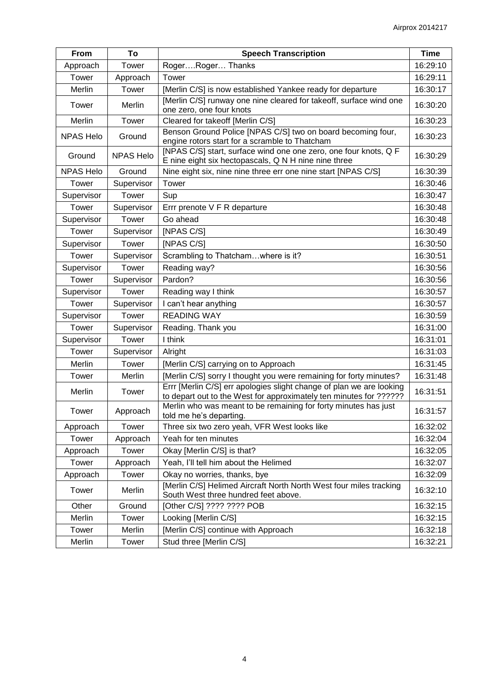| From             | To               | <b>Speech Transcription</b>                                                                                                                | <b>Time</b> |
|------------------|------------------|--------------------------------------------------------------------------------------------------------------------------------------------|-------------|
| Approach         | Tower            | RogerRoger Thanks                                                                                                                          | 16:29:10    |
| Tower            | Approach         | Tower                                                                                                                                      | 16:29:11    |
| Merlin           | Tower            | [Merlin C/S] is now established Yankee ready for departure                                                                                 | 16:30:17    |
| Tower            | Merlin           | [Merlin C/S] runway one nine cleared for takeoff, surface wind one<br>one zero, one four knots                                             | 16:30:20    |
| Merlin           | Tower            | Cleared for takeoff [Merlin C/S]                                                                                                           | 16:30:23    |
| <b>NPAS Helo</b> | Ground           | Benson Ground Police [NPAS C/S] two on board becoming four,<br>engine rotors start for a scramble to Thatcham                              | 16:30:23    |
| Ground           | <b>NPAS Helo</b> | [NPAS C/S] start, surface wind one one zero, one four knots, Q F<br>E nine eight six hectopascals, Q N H nine nine three                   | 16:30:29    |
| <b>NPAS Helo</b> | Ground           | Nine eight six, nine nine three err one nine start [NPAS C/S]                                                                              | 16:30:39    |
| Tower            | Supervisor       | Tower                                                                                                                                      | 16:30:46    |
| Supervisor       | Tower            | Sup                                                                                                                                        | 16:30:47    |
| Tower            | Supervisor       | Errr prenote V F R departure                                                                                                               | 16:30:48    |
| Supervisor       | Tower            | Go ahead                                                                                                                                   | 16:30:48    |
| Tower            | Supervisor       | [NPAS C/S]                                                                                                                                 | 16:30:49    |
| Supervisor       | Tower            | [NPAS C/S]                                                                                                                                 | 16:30:50    |
| Tower            | Supervisor       | Scrambling to Thatchamwhere is it?                                                                                                         | 16:30:51    |
| Supervisor       | Tower            | Reading way?                                                                                                                               | 16:30:56    |
| Tower            | Supervisor       | Pardon?                                                                                                                                    | 16:30:56    |
| Supervisor       | Tower            | Reading way I think                                                                                                                        | 16:30:57    |
| Tower            | Supervisor       | I can't hear anything                                                                                                                      | 16:30:57    |
| Supervisor       | Tower            | <b>READING WAY</b>                                                                                                                         | 16:30:59    |
| Tower            | Supervisor       | Reading. Thank you                                                                                                                         | 16:31:00    |
| Supervisor       | Tower            | I think                                                                                                                                    | 16:31:01    |
| Tower            | Supervisor       | Alright                                                                                                                                    | 16:31:03    |
| Merlin           | Tower            | [Merlin C/S] carrying on to Approach                                                                                                       | 16:31:45    |
| Tower            | Merlin           | [Merlin C/S] sorry I thought you were remaining for forty minutes?                                                                         | 16:31:48    |
| Merlin           | Tower            | Errr [Merlin C/S] err apologies slight change of plan we are looking<br>to depart out to the West for approximately ten minutes for ?????? | 16:31:51    |
| Tower            | Approach         | Merlin who was meant to be remaining for forty minutes has just<br>told me he's departing.                                                 | 16:31:57    |
| Approach         | Tower            | Three six two zero yeah, VFR West looks like                                                                                               | 16:32:02    |
| Tower            | Approach         | Yeah for ten minutes                                                                                                                       | 16:32:04    |
| Approach         | Tower            | Okay [Merlin C/S] is that?                                                                                                                 | 16:32:05    |
| Tower            | Approach         | Yeah, I'll tell him about the Helimed                                                                                                      | 16:32:07    |
| Approach         | Tower            | Okay no worries, thanks, bye                                                                                                               | 16:32:09    |
| Tower            | Merlin           | [Merlin C/S] Helimed Aircraft North North West four miles tracking<br>South West three hundred feet above.                                 | 16:32:10    |
| Other            | Ground           | [Other C/S] ???? ???? POB                                                                                                                  | 16:32:15    |
| Merlin           | Tower            | Looking [Merlin C/S]                                                                                                                       | 16:32:15    |
| Tower            | Merlin           | [Merlin C/S] continue with Approach                                                                                                        | 16:32:18    |
| Merlin           | Tower            | Stud three [Merlin C/S]                                                                                                                    | 16:32:21    |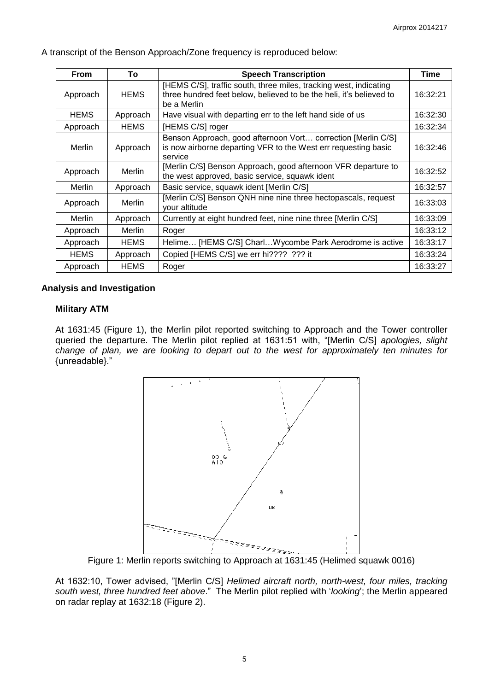| <b>From</b> | To            | <b>Speech Transcription</b>                                                                                                                             | <b>Time</b> |
|-------------|---------------|---------------------------------------------------------------------------------------------------------------------------------------------------------|-------------|
| Approach    | <b>HEMS</b>   | [HEMS C/S], traffic south, three miles, tracking west, indicating<br>three hundred feet below, believed to be the heli, it's believed to<br>be a Merlin | 16:32:21    |
| <b>HEMS</b> | Approach      | Have visual with departing err to the left hand side of us                                                                                              | 16:32:30    |
| Approach    | <b>HEMS</b>   | [HEMS C/S] roger                                                                                                                                        | 16:32:34    |
| Merlin      | Approach      | Benson Approach, good afternoon Vort correction [Merlin C/S]<br>is now airborne departing VFR to the West err requesting basic<br>service               | 16:32:46    |
| Approach    | <b>Merlin</b> | [Merlin C/S] Benson Approach, good afternoon VFR departure to<br>the west approved, basic service, squawk ident                                         | 16:32:52    |
| Merlin      | Approach      | Basic service, squawk ident [Merlin C/S]                                                                                                                | 16:32:57    |
| Approach    | Merlin        | [Merlin C/S] Benson QNH nine nine three hectopascals, request<br>vour altitude                                                                          | 16:33:03    |
| Merlin      | Approach      | Currently at eight hundred feet, nine nine three [Merlin C/S]                                                                                           | 16:33:09    |
| Approach    | Merlin        | Roger                                                                                                                                                   | 16:33:12    |
| Approach    | <b>HEMS</b>   | Helime [HEMS C/S] CharlWycombe Park Aerodrome is active                                                                                                 | 16:33:17    |
| <b>HEMS</b> | Approach      | Copied [HEMS C/S] we err hi???? ??? it                                                                                                                  | 16:33:24    |
| Approach    | <b>HEMS</b>   | Roger                                                                                                                                                   | 16:33:27    |

A transcript of the Benson Approach/Zone frequency is reproduced below:

## **Analysis and Investigation**

## **Military ATM**

At 1631:45 (Figure 1), the Merlin pilot reported switching to Approach and the Tower controller queried the departure. The Merlin pilot replied at 1631:51 with, "[Merlin C/S] *apologies, slight change of plan, we are looking to depart out to the west for approximately ten minutes for* {unreadable}."



Figure 1: Merlin reports switching to Approach at 1631:45 (Helimed squawk 0016)

At 1632:10, Tower advised, "[Merlin C/S] *Helimed aircraft north, north-west, four miles, tracking south west, three hundred feet above*." The Merlin pilot replied with '*looking*'; the Merlin appeared on radar replay at 1632:18 (Figure 2).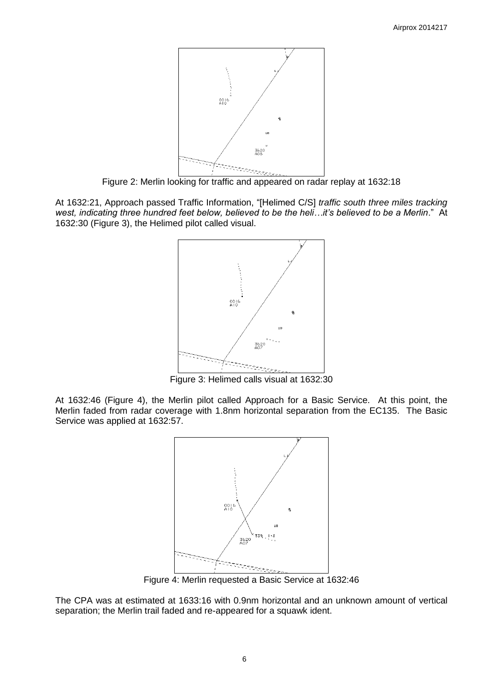

Figure 2: Merlin looking for traffic and appeared on radar replay at 1632:18

At 1632:21, Approach passed Traffic Information, "[Helimed C/S] *traffic south three miles tracking west, indicating three hundred feet below, believed to be the heli…it's believed to be a Merlin*." At 1632:30 (Figure 3), the Helimed pilot called visual.



Figure 3: Helimed calls visual at 1632:30

At 1632:46 (Figure 4), the Merlin pilot called Approach for a Basic Service. At this point, the Merlin faded from radar coverage with 1.8nm horizontal separation from the EC135. The Basic Service was applied at 1632:57.



Figure 4: Merlin requested a Basic Service at 1632:46

The CPA was at estimated at 1633:16 with 0.9nm horizontal and an unknown amount of vertical separation; the Merlin trail faded and re-appeared for a squawk ident.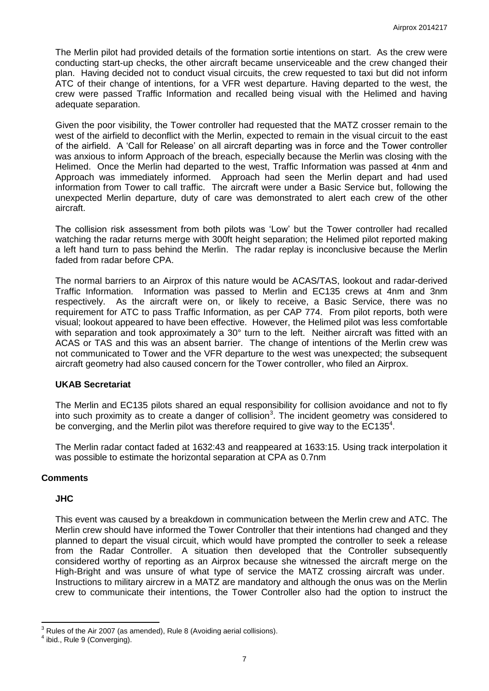The Merlin pilot had provided details of the formation sortie intentions on start. As the crew were conducting start-up checks, the other aircraft became unserviceable and the crew changed their plan. Having decided not to conduct visual circuits, the crew requested to taxi but did not inform ATC of their change of intentions, for a VFR west departure. Having departed to the west, the crew were passed Traffic Information and recalled being visual with the Helimed and having adequate separation.

Given the poor visibility, the Tower controller had requested that the MATZ crosser remain to the west of the airfield to deconflict with the Merlin, expected to remain in the visual circuit to the east of the airfield. A 'Call for Release' on all aircraft departing was in force and the Tower controller was anxious to inform Approach of the breach, especially because the Merlin was closing with the Helimed. Once the Merlin had departed to the west, Traffic Information was passed at 4nm and Approach was immediately informed. Approach had seen the Merlin depart and had used information from Tower to call traffic. The aircraft were under a Basic Service but, following the unexpected Merlin departure, duty of care was demonstrated to alert each crew of the other aircraft.

The collision risk assessment from both pilots was 'Low' but the Tower controller had recalled watching the radar returns merge with 300ft height separation; the Helimed pilot reported making a left hand turn to pass behind the Merlin. The radar replay is inconclusive because the Merlin faded from radar before CPA.

The normal barriers to an Airprox of this nature would be ACAS/TAS, lookout and radar-derived Traffic Information. Information was passed to Merlin and EC135 crews at 4nm and 3nm respectively. As the aircraft were on, or likely to receive, a Basic Service, there was no requirement for ATC to pass Traffic Information, as per CAP 774. From pilot reports, both were visual; lookout appeared to have been effective. However, the Helimed pilot was less comfortable with separation and took approximately a 30° turn to the left. Neither aircraft was fitted with an ACAS or TAS and this was an absent barrier. The change of intentions of the Merlin crew was not communicated to Tower and the VFR departure to the west was unexpected; the subsequent aircraft geometry had also caused concern for the Tower controller, who filed an Airprox.

#### **UKAB Secretariat**

The Merlin and EC135 pilots shared an equal responsibility for collision avoidance and not to fly into such proximity as to create a danger of collision<sup>3</sup>. The incident geometry was considered to be converging, and the Merlin pilot was therefore required to give way to the  $EC135<sup>4</sup>$ .

The Merlin radar contact faded at 1632:43 and reappeared at 1633:15. Using track interpolation it was possible to estimate the horizontal separation at CPA as 0.7nm

# **Comments**

#### **JHC**

This event was caused by a breakdown in communication between the Merlin crew and ATC. The Merlin crew should have informed the Tower Controller that their intentions had changed and they planned to depart the visual circuit, which would have prompted the controller to seek a release from the Radar Controller. A situation then developed that the Controller subsequently considered worthy of reporting as an Airprox because she witnessed the aircraft merge on the High-Bright and was unsure of what type of service the MATZ crossing aircraft was under. Instructions to military aircrew in a MATZ are mandatory and although the onus was on the Merlin crew to communicate their intentions, the Tower Controller also had the option to instruct the

 $\overline{\phantom{a}}$  $3$  Rules of the Air 2007 (as amended), Rule 8 (Avoiding aerial collisions).

<sup>&</sup>lt;sup>4</sup> ibid., Rule 9 (Converging).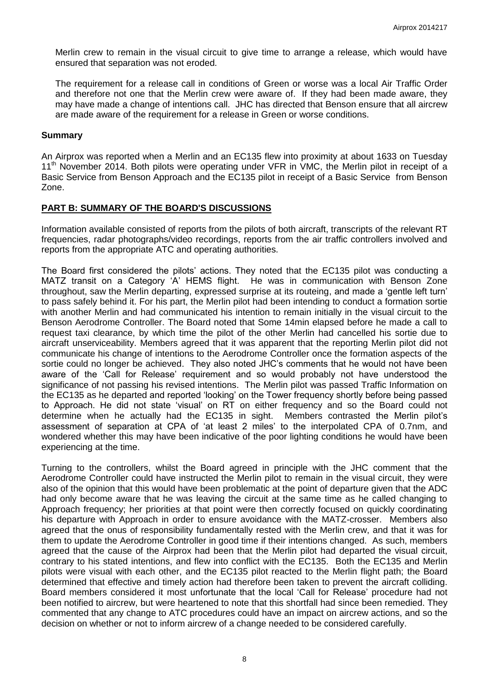Merlin crew to remain in the visual circuit to give time to arrange a release, which would have ensured that separation was not eroded.

The requirement for a release call in conditions of Green or worse was a local Air Traffic Order and therefore not one that the Merlin crew were aware of. If they had been made aware, they may have made a change of intentions call. JHC has directed that Benson ensure that all aircrew are made aware of the requirement for a release in Green or worse conditions.

#### **Summary**

An Airprox was reported when a Merlin and an EC135 flew into proximity at about 1633 on Tuesday 11<sup>th</sup> November 2014. Both pilots were operating under VFR in VMC, the Merlin pilot in receipt of a Basic Service from Benson Approach and the EC135 pilot in receipt of a Basic Service from Benson Zone.

# **PART B: SUMMARY OF THE BOARD'S DISCUSSIONS**

Information available consisted of reports from the pilots of both aircraft, transcripts of the relevant RT frequencies, radar photographs/video recordings, reports from the air traffic controllers involved and reports from the appropriate ATC and operating authorities.

The Board first considered the pilots' actions. They noted that the EC135 pilot was conducting a MATZ transit on a Category 'A' HEMS flight. He was in communication with Benson Zone throughout, saw the Merlin departing, expressed surprise at its routeing, and made a 'gentle left turn' to pass safely behind it. For his part, the Merlin pilot had been intending to conduct a formation sortie with another Merlin and had communicated his intention to remain initially in the visual circuit to the Benson Aerodrome Controller. The Board noted that Some 14min elapsed before he made a call to request taxi clearance, by which time the pilot of the other Merlin had cancelled his sortie due to aircraft unserviceability. Members agreed that it was apparent that the reporting Merlin pilot did not communicate his change of intentions to the Aerodrome Controller once the formation aspects of the sortie could no longer be achieved. They also noted JHC's comments that he would not have been aware of the 'Call for Release' requirement and so would probably not have understood the significance of not passing his revised intentions. The Merlin pilot was passed Traffic Information on the EC135 as he departed and reported 'looking' on the Tower frequency shortly before being passed to Approach. He did not state 'visual' on RT on either frequency and so the Board could not determine when he actually had the EC135 in sight. Members contrasted the Merlin pilot's assessment of separation at CPA of 'at least 2 miles' to the interpolated CPA of 0.7nm, and wondered whether this may have been indicative of the poor lighting conditions he would have been experiencing at the time.

Turning to the controllers, whilst the Board agreed in principle with the JHC comment that the Aerodrome Controller could have instructed the Merlin pilot to remain in the visual circuit, they were also of the opinion that this would have been problematic at the point of departure given that the ADC had only become aware that he was leaving the circuit at the same time as he called changing to Approach frequency; her priorities at that point were then correctly focused on quickly coordinating his departure with Approach in order to ensure avoidance with the MATZ-crosser. Members also agreed that the onus of responsibility fundamentally rested with the Merlin crew, and that it was for them to update the Aerodrome Controller in good time if their intentions changed. As such, members agreed that the cause of the Airprox had been that the Merlin pilot had departed the visual circuit, contrary to his stated intentions, and flew into conflict with the EC135. Both the EC135 and Merlin pilots were visual with each other, and the EC135 pilot reacted to the Merlin flight path; the Board determined that effective and timely action had therefore been taken to prevent the aircraft colliding. Board members considered it most unfortunate that the local 'Call for Release' procedure had not been notified to aircrew, but were heartened to note that this shortfall had since been remedied. They commented that any change to ATC procedures could have an impact on aircrew actions, and so the decision on whether or not to inform aircrew of a change needed to be considered carefully.